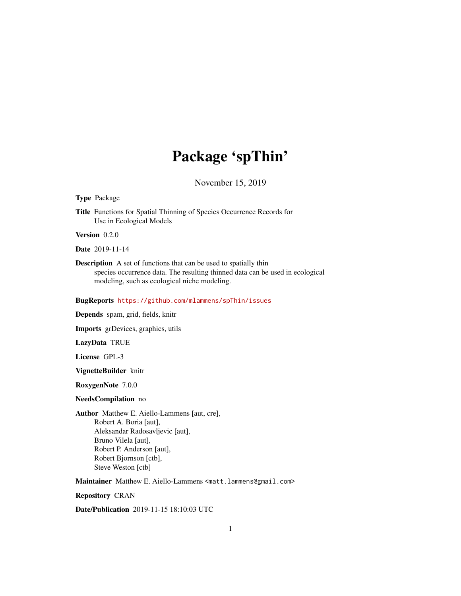## Package 'spThin'

November 15, 2019

#### Type Package

Title Functions for Spatial Thinning of Species Occurrence Records for Use in Ecological Models

Version 0.2.0

Date 2019-11-14

Description A set of functions that can be used to spatially thin species occurrence data. The resulting thinned data can be used in ecological modeling, such as ecological niche modeling.

#### BugReports <https://github.com/mlammens/spThin/issues>

Depends spam, grid, fields, knitr

Imports grDevices, graphics, utils

LazyData TRUE

License GPL-3

VignetteBuilder knitr

RoxygenNote 7.0.0

#### NeedsCompilation no

Author Matthew E. Aiello-Lammens [aut, cre], Robert A. Boria [aut], Aleksandar Radosavljevic [aut], Bruno Vilela [aut], Robert P. Anderson [aut], Robert Bjornson [ctb], Steve Weston [ctb]

Maintainer Matthew E. Aiello-Lammens <matt.lammens@gmail.com>

Repository CRAN

Date/Publication 2019-11-15 18:10:03 UTC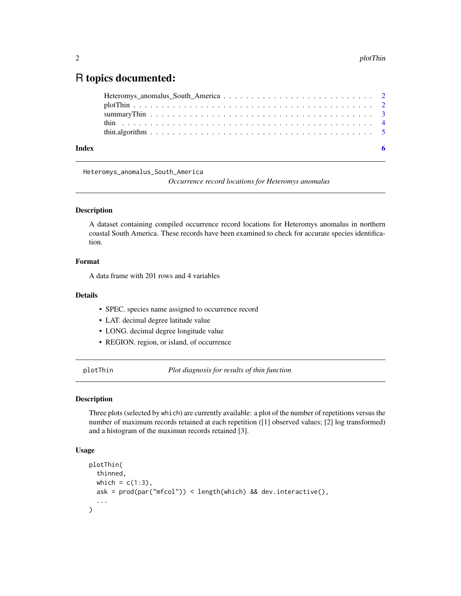### <span id="page-1-0"></span>R topics documented:

| Index |  |
|-------|--|

Heteromys\_anomalus\_South\_America

*Occurrence record locations for Heteromys anomalus*

#### Description

A dataset containing compiled occurrence record locations for Heteromys anomalus in northern coastal South America. These records have been examined to check for accurate species identification.

#### Format

A data frame with 201 rows and 4 variables

#### Details

- SPEC. species name assigned to occurrence record
- LAT. decimal degree latitude value
- LONG. decimal degree longitude value
- REGION. region, or island, of occurrence

plotThin *Plot diagnosis for results of thin function*

#### Description

Three plots (selected by which) are currently available: a plot of the number of repetitions versus the number of maximum records retained at each repetition ([1] observed values; [2] log transformed) and a histogram of the maximun records retained [3].

#### Usage

```
plotThin(
  thinned,
 which = c(1:3),
 ask = prod(par("mfcol")) < length(which) && dev.interactive(),
  ...
)
```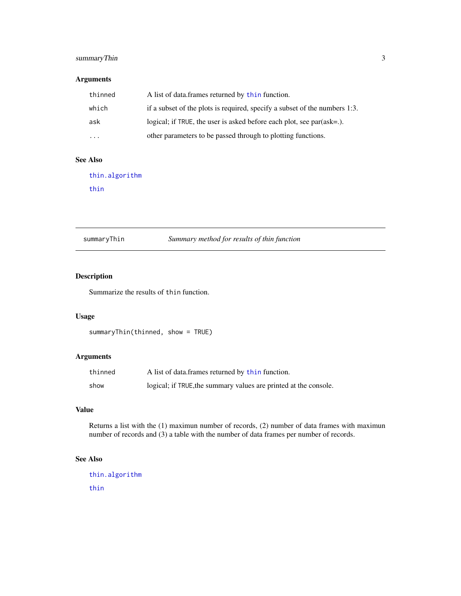#### <span id="page-2-0"></span>summaryThin 3

### Arguments

| thinned | A list of data frames returned by thin function.                           |
|---------|----------------------------------------------------------------------------|
| which   | if a subset of the plots is required, specify a subset of the numbers 1:3. |
| ask     | logical; if TRUE, the user is asked before each plot, see $par(ask=.)$ .   |
| .       | other parameters to be passed through to plotting functions.               |

#### See Also

[thin.algorithm](#page-4-1) [thin](#page-3-1)

summaryThin *Summary method for results of thin function*

#### Description

Summarize the results of thin function.

#### Usage

```
summaryThin(thinned, show = TRUE)
```
### Arguments

| thinned | A list of data.frames returned by thin function.                 |
|---------|------------------------------------------------------------------|
| show    | logical; if TRUE, the summary values are printed at the console. |

#### Value

Returns a list with the (1) maximun number of records, (2) number of data frames with maximun number of records and (3) a table with the number of data frames per number of records.

#### See Also

[thin.algorithm](#page-4-1) [thin](#page-3-1)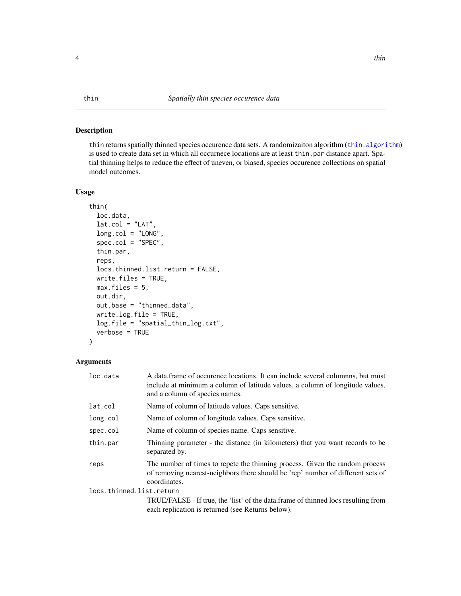#### <span id="page-3-1"></span><span id="page-3-0"></span>Description

thin returns spatially thinned species occurence data sets. A randomizaiton algorithm ([thin.algorithm](#page-4-1)) is used to create data set in which all occurnece locations are at least thin.par distance apart. Spatial thinning helps to reduce the effect of uneven, or biased, species occurence collections on spatial model outcomes.

#### Usage

```
thin(
  loc.data,
  lat.col = "LAT",long.col = "LONG",spec.col = "SPEC",
  thin.par,
  reps,
  locs.thinned.list.return = FALSE,
  write.files = TRUE,
 max.file = 5,
  out.dir,
  out.base = "thinned_data",
  write.log.file = TRUE,
  log.file = "spatial_thin_log.txt",
  verbose = TRUE
)
```
#### Arguments

| loc.data                 | A data frame of occurence locations. It can include several columnns, but must<br>include at minimum a column of latitude values, a column of longitude values,<br>and a column of species names. |  |
|--------------------------|---------------------------------------------------------------------------------------------------------------------------------------------------------------------------------------------------|--|
| lat.col                  | Name of column of latitude values. Caps sensitive.                                                                                                                                                |  |
| long.col                 | Name of column of longitude values. Caps sensitive.                                                                                                                                               |  |
| spec.col                 | Name of column of species name. Caps sensitive.                                                                                                                                                   |  |
| thin.par                 | Thinning parameter - the distance (in kilometers) that you want records to be<br>separated by.                                                                                                    |  |
| reps                     | The number of times to repete the thinning process. Given the random process<br>of removing nearest-neighbors there should be 'rep' number of different sets of<br>coordinates.                   |  |
| locs.thinned.list.return |                                                                                                                                                                                                   |  |
|                          | TRUE/FALSE - If true, the 'list' of the data.frame of thinned locs resulting from                                                                                                                 |  |
|                          | each replication is returned (see Returns below).                                                                                                                                                 |  |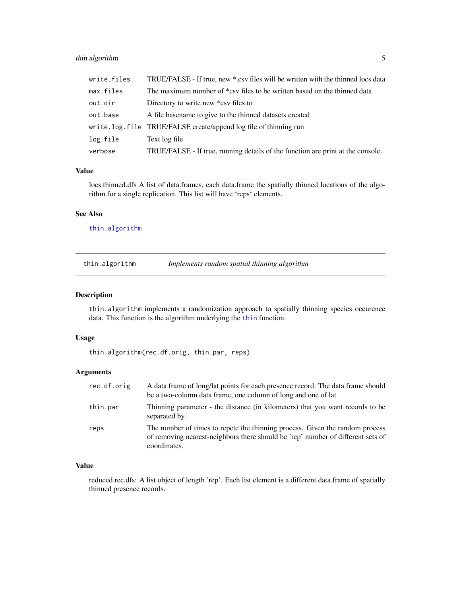#### <span id="page-4-0"></span>thin.algorithm 5

| write.files | TRUE/FALSE - If true, new *.csv files will be written with the thinned locs data |
|-------------|----------------------------------------------------------------------------------|
| max.files   | The maximum number of *csv files to be written based on the thinned data         |
| out.dir     | Directory to write new *csy files to                                             |
| out.base    | A file base ame to give to the thinned datasets created                          |
|             | write.log.file TRUE/FALSE create/append log file of thinning run                 |
| log.file    | Text log file                                                                    |
| verbose     | TRUE/FALSE - If true, running details of the function are print at the console.  |

#### Value

locs.thinned.dfs A list of data.frames, each data.frame the spatially thinned locations of the algorithm for a single replication. This list will have 'reps' elements.

#### See Also

[thin.algorithm](#page-4-1)

<span id="page-4-1"></span>

| thin.algorithm | Implements random spatial thinning algorithm |  |
|----------------|----------------------------------------------|--|
|----------------|----------------------------------------------|--|

#### Description

thin.algorithm implements a randomization approach to spatially thinning species occurence data. This function is the algorithm underlying the [thin](#page-3-1) function.

#### Usage

thin.algorithm(rec.df.orig, thin.par, reps)

#### Arguments

| rec.df.orig | A data frame of long/lat points for each presence record. The data frame should<br>be a two-column data frame, one column of long and one of lat                                |
|-------------|---------------------------------------------------------------------------------------------------------------------------------------------------------------------------------|
| thin.par    | Thinning parameter - the distance (in kilometers) that you want records to be<br>separated by.                                                                                  |
| reps        | The number of times to repete the thinning process. Given the random process<br>of removing nearest-neighbors there should be 'rep' number of different sets of<br>coordinates. |

#### Value

reduced.rec.dfs: A list object of length 'rep'. Each list element is a different data.frame of spatially thinned presence records.